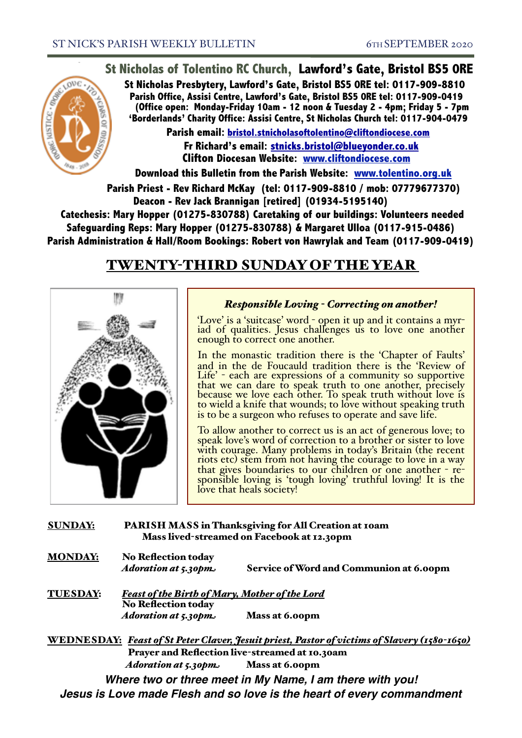## **St Nicholas of Tolentino RC Church, Lawford's Gate, Bristol BS5 0RE**

**St Nicholas Presbytery, Lawford's Gate, Bristol BS5 0RE tel: 0117-909-8810 Parish Office, Assisi Centre, Lawford's Gate, Bristol BS5 0RE tel: 0117-909-0419 (Office open: Monday-Friday 10am - 12 noon & Tuesday 2 - 4pm; Friday 5 - 7pm 'Borderlands' Charity Office: Assisi Centre, St Nicholas Church tel: 0117-904-0479**

**Parish email: [bristol.stnicholasoftolentino@cliftondiocese.com](mailto:bristol.stnicholasoftolentino@cliftondiocese.com) Fr Richard's email: [stnicks.bristol@blueyonder.co.uk](mailto:stnicks.bristol@blueyonder.co.uk) Clifton Diocesan Website: [www.cliftondiocese.com](http://www.cliftondiocese.com)**

**Download this Bulletin from the Parish Website: [www.tolentino.org.uk](http://www.cliftondiocese.com) Parish Priest - Rev Richard McKay (tel: 0117-909-8810 / mob: 07779677370) Deacon - Rev Jack Brannigan [retired] (01934-5195140)** 

 **Catechesis: Mary Hopper (01275-830788) Caretaking of our buildings: Volunteers needed Safeguarding Reps: Mary Hopper (01275-830788) & Margaret Ulloa (0117-915-0486) Parish Administration & Hall/Room Bookings: Robert von Hawrylak and Team (0117-909-0419)**

# TWENTY-THIRD SUNDAY OF THE YEAR



### *Responsible Loving - Correcting on another!*

'Love' is a 'suitcase' word - open it up and it contains a myr- iad of qualities. Jesus challenges us to love one another enough to correct one another.

In the monastic tradition there is the 'Chapter of Faults' and in the de Foucauld tradition there is the 'Review of Life' - each are expressions of a community so supportive Life' - each are expressions of a community so supportive that we can dare to speak truth to one another, precisely because we love each other. To speak truth without love is to wield a knife that wounds; to love without speaking truth is to be a surgeon who refuses to operate and save life.

To allow another to correct us is an act of generous love; to speak love's word of correction to a brother or sister to love with courage. Many problems in today's Britain (the recent riots etc) stem from not having the courage to love in a way that gives boundaries to our children or one another - re- sponsible loving is 'tough loving' truthful loving! It is the love that heals society!

#### SUNDAY: PARISH MASS in Thanksgiving for All Creation at 10am Mass lived-streamed on Facebook at 12.30pm

MONDAY: No Reflection today

*Adoration at 5.30pm* Service of Word and Communion at 6.00pm

TUESDAY: *Feast of the Birth of Mary, Mother of the Lord* No Reflection today Adoration at 5.30pm. Mass at 6.00pm

WEDNESDAY: *Feast of St Peter Claver, Jesuit priest, Pastor of victims of Slavery (1580-1650)* Prayer and Reflection live-streamed at 10.30am *Adoration at 5.30pm* Mass at 6.00pm *Where two or three meet in My Name, I am there with you!* 

*Jesus is Love made Flesh and so love is the heart of every commandment*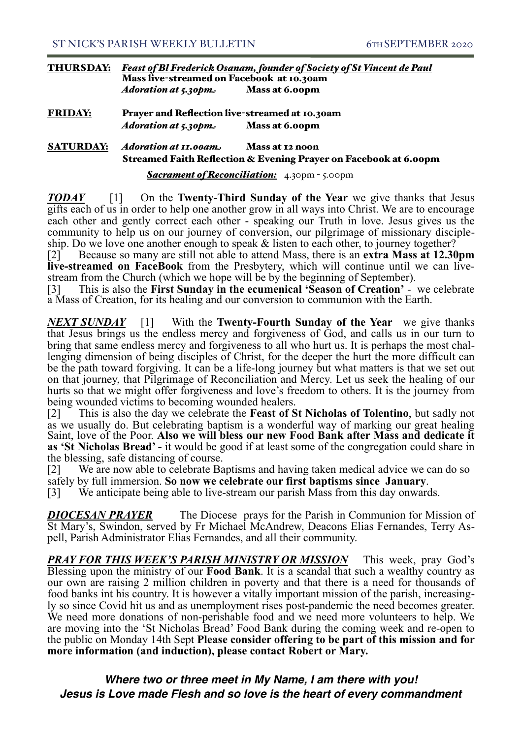| <b>THURSDAY:</b> | <b>Feast of Bl Frederick Osanam, founder of Society of St Vincent de Paul</b><br>Mass live-streamed on Facebook at 10.30am |                |
|------------------|----------------------------------------------------------------------------------------------------------------------------|----------------|
|                  | Adoration at 5.30pm                                                                                                        | Mass at 6.00pm |

FRIDAY: Prayer and Reflection live-streamed at 10.30am *Adoration at 5.30pm* Mass at 6.00pm

#### SATURDAY: *Adoration at 11.00am* Mass at 12 noon Streamed Faith Reflection & Evening Prayer on Facebook at 6.00pm

*Sacrament of Reconciliation:* 4.30pm - 5.00pm

*TODAY* [1] On the **Twenty-Third Sunday of the Year** we give thanks that Jesus gifts each of us in order to help one another grow in all ways into Christ. We are to encourage each other and gently correct each other - speaking our Truth in love. Jesus gives us the community to help us on our journey of conversion, our pilgrimage of missionary discipleship. Do we love one another enough to speak & listen to each other, to journey together?

[2] Because so many are still not able to attend Mass, there is an **extra Mass at 12.30pm live-streamed on FaceBook** from the Presbytery, which will continue until we can livestream from the Church (which we hope will be by the beginning of September).

[3] This is also the **First Sunday in the ecumenical 'Season of Creation'** - we celebrate a Mass of Creation, for its healing and our conversion to communion with the Earth.

*NEXT SUNDAY* [1] With the **Twenty-Fourth Sunday of the Year** we give thanks that Jesus brings us the endless mercy and forgiveness of God, and calls us in our turn to bring that same endless mercy and forgiveness to all who hurt us. It is perhaps the most challenging dimension of being disciples of Christ, for the deeper the hurt the more difficult can be the path toward forgiving. It can be a life-long journey but what matters is that we set out on that journey, that Pilgrimage of Reconciliation and Mercy. Let us seek the healing of our hurts so that we might offer forgiveness and love's freedom to others. It is the journey from being wounded victims to becoming wounded healers.

[2] This is also the day we celebrate the **Feast of St Nicholas of Tolentino**, but sadly not as we usually do. But celebrating baptism is a wonderful way of marking our great healing Saint, love of the Poor. **Also we will bless our new Food Bank after Mass and dedicate it as 'St Nicholas Bread' -** it would be good if at least some of the congregation could share in the blessing, safe distancing of course.

[2] We are now able to celebrate Baptisms and having taken medical advice we can do so safely by full immersion. **So now we celebrate our first baptisms since January**.

[3] We anticipate being able to live-stream our parish Mass from this day onwards.

Ī *DIOCESAN PRAYER* The Diocese prays for the Parish in Communion for Mission of St Mary's, Swindon, served by Fr Michael McAndrew, Deacons Elias Fernandes, Terry Aspell, Parish Administrator Elias Fernandes, and all their community.

*PRAY FOR THIS WEEK'S PARISH MINISTRY OR MISSION* This week, pray God's Blessing upon the ministry of our **Food Bank**. It is a scandal that such a wealthy country as our own are raising 2 million children in poverty and that there is a need for thousands of food banks int his country. It is however a vitally important mission of the parish, increasingly so since Covid hit us and as unemployment rises post-pandemic the need becomes greater. We need more donations of non-perishable food and we need more volunteers to help. We are moving into the 'St Nicholas Bread' Food Bank during the coming week and re-open to the public on Monday 14th Sept **Please consider offering to be part of this mission and for more information (and induction), please contact Robert or Mary.**

*Where two or three meet in My Name, I am there with you! Jesus is Love made Flesh and so love is the heart of every commandment*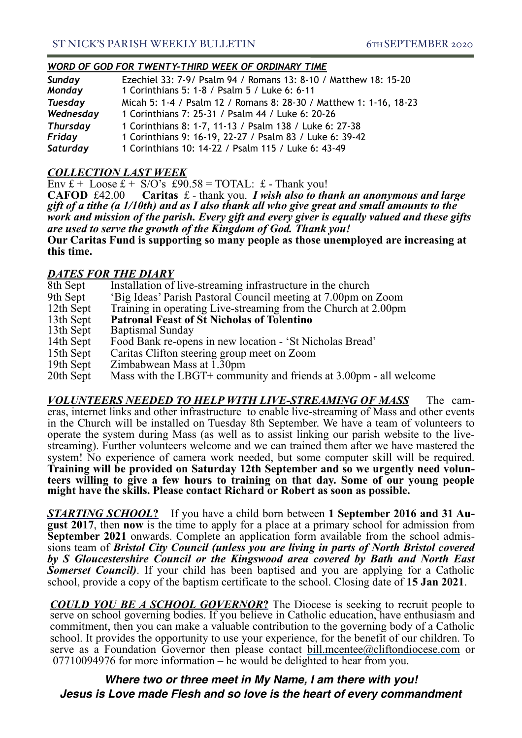#### *WORD OF GOD FOR TWENTY-THIRD WEEK OF ORDINARY TIME*

| Sunday          | Ezechiel 33: 7-9/ Psalm 94 / Romans 13: 8-10 / Matthew 18: 15-20   |
|-----------------|--------------------------------------------------------------------|
| Monday          | 1 Corinthians 5: 1-8 / Psalm 5 / Luke 6: 6-11                      |
| <b>Tuesday</b>  | Micah 5: 1-4 / Psalm 12 / Romans 8: 28-30 / Matthew 1: 1-16, 18-23 |
| Wednesday       | 1 Corinthians 7: 25-31 / Psalm 44 / Luke 6: 20-26                  |
| <b>Thursday</b> | 1 Corinthians 8: 1-7, 11-13 / Psalm 138 / Luke 6: 27-38            |
| Friday          | 1 Corinthians 9: 16-19, 22-27 / Psalm 83 / Luke 6: 39-42           |
| Saturday        | 1 Corinthians 10: 14-22 / Psalm 115 / Luke 6: 43-49                |

#### *COLLECTION LAST WEEK*

Env  $f + \text{Loose } f + \text{S/O's } f = \text{TOTAL: } f - \text{Thank you!}$ 

**CAFOD** £42.00 **Caritas** £ - thank you. *I wish also to thank an anonymous and large gift of a tithe (a 1/10th) and as I also thank all who give great and small amounts to the work and mission of the parish. Every gift and every giver is equally valued and these gifts are used to serve the growth of the Kingdom of God. Thank you!* 

**Our Caritas Fund is supporting so many people as those unemployed are increasing at this time.** 

### *DATES FOR THE DIARY*

| 8th Sept  | Installation of live-streaming infrastructure in the church       |
|-----------|-------------------------------------------------------------------|
| 9th Sept  | 'Big Ideas' Parish Pastoral Council meeting at 7.00pm on Zoom     |
| 12th Sept | Training in operating Live-streaming from the Church at 2.00pm    |
| 13th Sept | <b>Patronal Feast of St Nicholas of Tolentino</b>                 |
| 13th Sept | <b>Baptismal Sunday</b>                                           |
| 14th Sept | Food Bank re-opens in new location - 'St Nicholas Bread'          |
| 15th Sept | Caritas Clifton steering group meet on Zoom                       |
| 19th Sept | Zimbabwean Mass at 1.30pm                                         |
| 20th Sept | Mass with the LBGT+ community and friends at 3.00pm - all welcome |
|           |                                                                   |

*VOLUNTEERS NEEDED TO HELP WITH LIVE-STREAMING OF MASS* The cam-<br>eras, internet links and other infrastructure to enable live-streaming of Mass and other events in the Church will be installed on Tuesday 8th September. We have a team of volunteers to operate the system during Mass (as well as to assist linking our parish website to the livestreaming). Further volunteers welcome and we can trained them after we have mastered the system! No experience of camera work needed, but some computer skill will be required. **Training will be provided on Saturday 12th September and so we urgently need volun- teers willing to give a few hours to training on that day. Some of our young people might have the skills. Please contact Richard or Robert as soon as possible.**

**STARTING SCHOOL?** If you have a child born between **1 September 2016 and 31 August 2017**, then **now** is the time to apply for a place at a primary school for admission from **September 2021** onwards. Complete an applicatio sions team of *Bristol City Council (unless you are living in parts of North Bristol covered by S Gloucestershire Council or the Kingswood area covered by Bath and North East Somerset Council*). If your child has been baptised and you are applying for a Catholic school, provide a copy of the baptism certificate to the school. Closing date of **15 Jan 2021**.

**COULD YOU BE A SCHOOL GOVERNOR?** The Diocese is seeking to recruit people to serve on school governing bodies. If you believe in Catholic education, have enthusiasm and commitment, then you can make a valuable contribution to the governing body of a Catholic school. It provides the opportunity to use your experience, for the benefit of our children. To serve as a Foundation Governor then please contact [bill.mcentee@cliftondiocese.com](mailto:bill.mcentee@cliftondiocese.com) or 07710094976 for more information – he would be delighted to hear from you.

*Where two or three meet in My Name, I am there with you! Jesus is Love made Flesh and so love is the heart of every commandment*